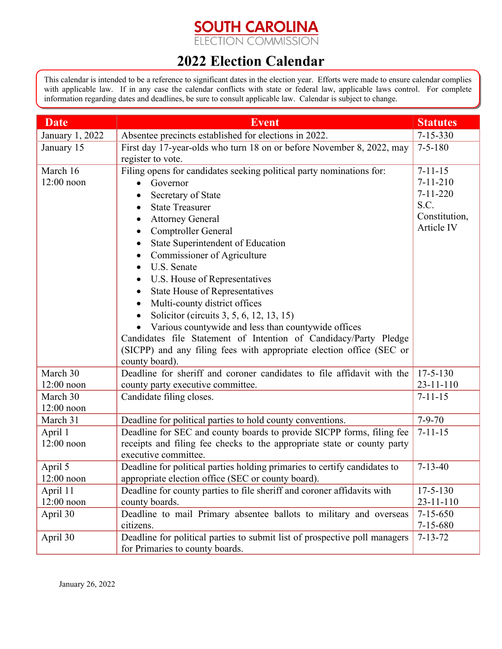## **SOUTH CAROLINA**<br>ELECTION COMMISSION

## **2022 Election Calendar**

This calendar is intended to be a reference to significant dates in the election year. Efforts were made to ensure calendar complies with applicable law. If in any case the calendar conflicts with state or federal law, applicable laws control. For complete information regarding dates and deadlines, be sure to consult applicable law. Calendar is subject to change.

| <b>Date</b>              | <b>Event</b>                                                                                                                    | <b>Statutes</b>                   |
|--------------------------|---------------------------------------------------------------------------------------------------------------------------------|-----------------------------------|
| January 1, 2022          | Absentee precincts established for elections in 2022.                                                                           | $7 - 15 - 330$                    |
| January 15               | First day 17-year-olds who turn 18 on or before November 8, 2022, may                                                           | $7 - 5 - 180$                     |
|                          | register to vote.                                                                                                               |                                   |
| March 16                 | Filing opens for candidates seeking political party nominations for:                                                            | $7 - 11 - 15$                     |
| $12:00$ noon             | Governor<br>$\bullet$                                                                                                           | $7 - 11 - 210$                    |
|                          | Secretary of State                                                                                                              | $7 - 11 - 220$                    |
|                          | <b>State Treasurer</b>                                                                                                          | S.C.                              |
|                          | <b>Attorney General</b>                                                                                                         | Constitution,                     |
|                          | Comptroller General                                                                                                             | Article IV                        |
|                          | State Superintendent of Education                                                                                               |                                   |
|                          | Commissioner of Agriculture                                                                                                     |                                   |
|                          | U.S. Senate                                                                                                                     |                                   |
|                          | U.S. House of Representatives<br>$\bullet$                                                                                      |                                   |
|                          | State House of Representatives                                                                                                  |                                   |
|                          | Multi-county district offices                                                                                                   |                                   |
|                          | Solicitor (circuits 3, 5, 6, 12, 13, 15)                                                                                        |                                   |
|                          | Various countywide and less than countywide offices                                                                             |                                   |
|                          | Candidates file Statement of Intention of Candidacy/Party Pledge                                                                |                                   |
|                          | (SICPP) and any filing fees with appropriate election office (SEC or                                                            |                                   |
|                          | county board).                                                                                                                  |                                   |
| March 30                 | Deadline for sheriff and coroner candidates to file affidavit with the                                                          | $17 - 5 - 130$                    |
| $12:00$ noon             | county party executive committee.                                                                                               | $23 - 11 - 110$                   |
| March 30                 | Candidate filing closes.                                                                                                        | $7 - 11 - 15$                     |
| $12:00$ noon             |                                                                                                                                 |                                   |
| March 31                 | Deadline for political parties to hold county conventions.                                                                      | $7 - 9 - 70$                      |
| April 1                  | Deadline for SEC and county boards to provide SICPP forms, filing fee                                                           | $7 - 11 - 15$                     |
| $12:00$ noon             | receipts and filing fee checks to the appropriate state or county party                                                         |                                   |
|                          | executive committee.                                                                                                            | $7 - 13 - 40$                     |
| April 5<br>$12:00$ noon  | Deadline for political parties holding primaries to certify candidates to<br>appropriate election office (SEC or county board). |                                   |
|                          | Deadline for county parties to file sheriff and coroner affidavits with                                                         |                                   |
| April 11<br>$12:00$ noon | county boards.                                                                                                                  | $17 - 5 - 130$<br>$23 - 11 - 110$ |
| April 30                 | Deadline to mail Primary absentee ballots to military and overseas                                                              | $7 - 15 - 650$                    |
|                          | citizens.                                                                                                                       | $7 - 15 - 680$                    |
| April 30                 | Deadline for political parties to submit list of prospective poll managers                                                      | $7 - 13 - 72$                     |
|                          | for Primaries to county boards.                                                                                                 |                                   |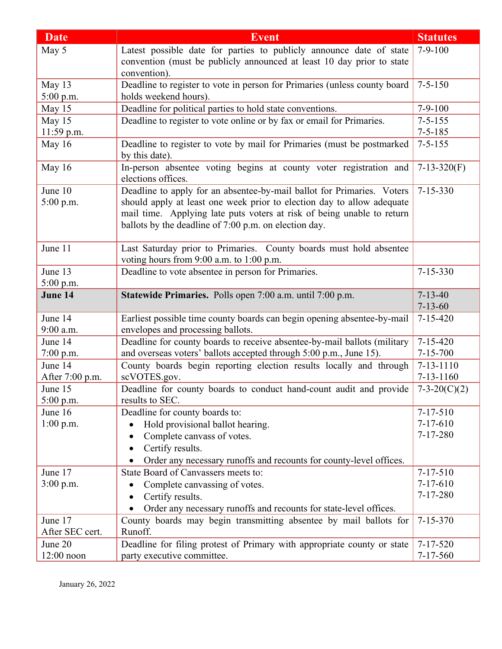| <b>Date</b>     | <b>Event</b>                                                                                                  | <b>Statutes</b> |
|-----------------|---------------------------------------------------------------------------------------------------------------|-----------------|
| May 5           | Latest possible date for parties to publicly announce date of state                                           | $7-9-100$       |
|                 | convention (must be publicly announced at least 10 day prior to state                                         |                 |
|                 | convention).                                                                                                  |                 |
| May 13          | Deadline to register to vote in person for Primaries (unless county board                                     | $7 - 5 - 150$   |
| 5:00 p.m.       | holds weekend hours).                                                                                         |                 |
| May 15          | Deadline for political parties to hold state conventions.                                                     | $7-9-100$       |
| May 15          | Deadline to register to vote online or by fax or email for Primaries.                                         | $7 - 5 - 155$   |
| 11:59 p.m.      |                                                                                                               | $7 - 5 - 185$   |
| May 16          | Deadline to register to vote by mail for Primaries (must be postmarked<br>by this date).                      | $7 - 5 - 155$   |
| May 16          | In-person absentee voting begins at county voter registration and<br>elections offices.                       | $7-13-320(F)$   |
| June 10         | Deadline to apply for an absentee-by-mail ballot for Primaries. Voters                                        | $7 - 15 - 330$  |
| $5:00$ p.m.     | should apply at least one week prior to election day to allow adequate                                        |                 |
|                 | mail time. Applying late puts voters at risk of being unable to return                                        |                 |
|                 | ballots by the deadline of 7:00 p.m. on election day.                                                         |                 |
|                 |                                                                                                               |                 |
| June 11         | Last Saturday prior to Primaries. County boards must hold absentee                                            |                 |
|                 | voting hours from 9:00 a.m. to 1:00 p.m.                                                                      |                 |
| June 13         | Deadline to vote absentee in person for Primaries.                                                            | $7 - 15 - 330$  |
| 5:00 p.m.       |                                                                                                               |                 |
| June 14         | Statewide Primaries. Polls open 7:00 a.m. until 7:00 p.m.                                                     | $7 - 13 - 40$   |
| June 14         |                                                                                                               | $7 - 13 - 60$   |
| $9:00$ a.m.     | Earliest possible time county boards can begin opening absentee-by-mail                                       | $7 - 15 - 420$  |
| June 14         | envelopes and processing ballots.<br>Deadline for county boards to receive absentee-by-mail ballots (military | $7 - 15 - 420$  |
| $7:00$ p.m.     | and overseas voters' ballots accepted through 5:00 p.m., June 15).                                            | $7 - 15 - 700$  |
| June 14         | County boards begin reporting election results locally and through                                            | $7 - 13 - 1110$ |
| After 7:00 p.m. | scVOTES.gov.                                                                                                  | $7 - 13 - 1160$ |
| June 15         | Deadline for county boards to conduct hand-count audit and provide                                            | $7-3-20(C)(2)$  |
| $5:00$ p.m.     | results to SEC.                                                                                               |                 |
| June 16         | Deadline for county boards to:                                                                                | $7 - 17 - 510$  |
| $1:00$ p.m.     | Hold provisional ballot hearing.<br>$\bullet$                                                                 | $7 - 17 - 610$  |
|                 | Complete canvass of votes.                                                                                    | $7 - 17 - 280$  |
|                 | Certify results.                                                                                              |                 |
|                 | Order any necessary runoffs and recounts for county-level offices.                                            |                 |
| June 17         | State Board of Canvassers meets to:                                                                           | $7 - 17 - 510$  |
| $3:00$ p.m.     | Complete canvassing of votes.                                                                                 | $7 - 17 - 610$  |
|                 | Certify results.                                                                                              | $7 - 17 - 280$  |
|                 | Order any necessary runoffs and recounts for state-level offices.<br>$\bullet$                                |                 |
| June 17         | County boards may begin transmitting absentee by mail ballots for                                             | $7 - 15 - 370$  |
| After SEC cert. | Runoff.                                                                                                       |                 |
| June 20         | Deadline for filing protest of Primary with appropriate county or state                                       | $7 - 17 - 520$  |
| $12:00$ noon    | party executive committee.                                                                                    | $7 - 17 - 560$  |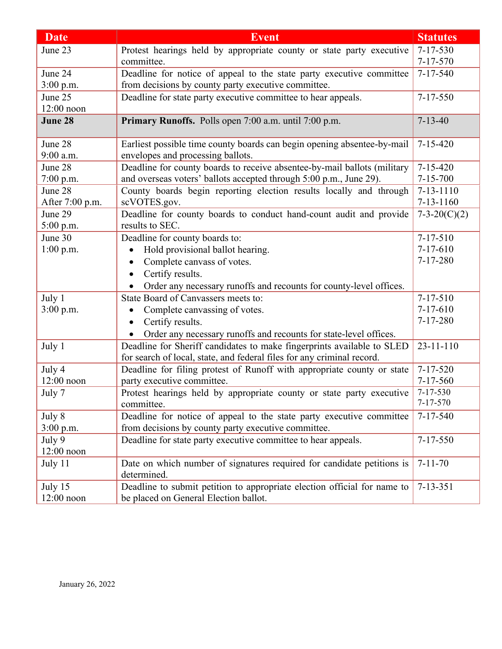| <b>Date</b>     | <b>Event</b>                                                                       | <b>Statutes</b>                  |
|-----------------|------------------------------------------------------------------------------------|----------------------------------|
| June 23         | Protest hearings held by appropriate county or state party executive               | $7 - 17 - 530$                   |
|                 | committee.                                                                         | $7 - 17 - 570$                   |
| June 24         | Deadline for notice of appeal to the state party executive committee               | $7 - 17 - 540$                   |
| 3:00 p.m.       | from decisions by county party executive committee.                                |                                  |
| June 25         | Deadline for state party executive committee to hear appeals.                      | $7 - 17 - 550$                   |
| $12:00$ noon    |                                                                                    |                                  |
| June 28         | Primary Runoffs. Polls open 7:00 a.m. until 7:00 p.m.                              | $7 - 13 - 40$                    |
| June 28         | Earliest possible time county boards can begin opening absentee-by-mail            | $7 - 15 - 420$                   |
| 9:00 a.m.       | envelopes and processing ballots.                                                  |                                  |
| June 28         | Deadline for county boards to receive absentee-by-mail ballots (military           | $7 - 15 - 420$                   |
| 7:00 p.m.       | and overseas voters' ballots accepted through 5:00 p.m., June 29).                 | $7 - 15 - 700$                   |
| June 28         | County boards begin reporting election results locally and through                 | $7 - 13 - 1110$                  |
| After 7:00 p.m. | scVOTES.gov.                                                                       | $7 - 13 - 1160$                  |
| June 29         | Deadline for county boards to conduct hand-count audit and provide                 | $7-3-20(C)(2)$                   |
| $5:00$ p.m.     | results to SEC.                                                                    |                                  |
| June 30         | Deadline for county boards to:                                                     | $7 - 17 - 510$                   |
| $1:00$ p.m.     | Hold provisional ballot hearing.                                                   | $7-17-610$                       |
|                 | Complete canvass of votes.<br>$\bullet$                                            | $7 - 17 - 280$                   |
|                 | Certify results.                                                                   |                                  |
|                 | Order any necessary runoffs and recounts for county-level offices.<br>$\bullet$    |                                  |
| July 1          | State Board of Canvassers meets to:                                                | $7 - 17 - 510$                   |
| 3:00 p.m.       | Complete canvassing of votes.<br>$\bullet$                                         | $7 - 17 - 610$                   |
|                 | Certify results.<br>$\bullet$                                                      | $7 - 17 - 280$                   |
|                 | Order any necessary runoffs and recounts for state-level offices.                  |                                  |
| July 1          | Deadline for Sheriff candidates to make fingerprints available to SLED             | $23 - 11 - 110$                  |
|                 | for search of local, state, and federal files for any criminal record.             |                                  |
| July 4          | Deadline for filing protest of Runoff with appropriate county or state             | $7 - 17 - 520$                   |
| $12:00$ noon    | party executive committee.                                                         | $7 - 17 - 560$                   |
| July 7          | Protest hearings held by appropriate county or state party executive<br>committee. | $7 - 17 - 530$<br>$7 - 17 - 570$ |
| July 8          | Deadline for notice of appeal to the state party executive committee               | $7 - 17 - 540$                   |
| $3:00$ p.m.     | from decisions by county party executive committee.                                |                                  |
| July 9          | Deadline for state party executive committee to hear appeals.                      | $7 - 17 - 550$                   |
| $12:00$ noon    |                                                                                    |                                  |
| July 11         | Date on which number of signatures required for candidate petitions is             | $7 - 11 - 70$                    |
|                 | determined.                                                                        |                                  |
| July 15         | Deadline to submit petition to appropriate election official for name to           | $7 - 13 - 351$                   |
| $12:00$ noon    | be placed on General Election ballot.                                              |                                  |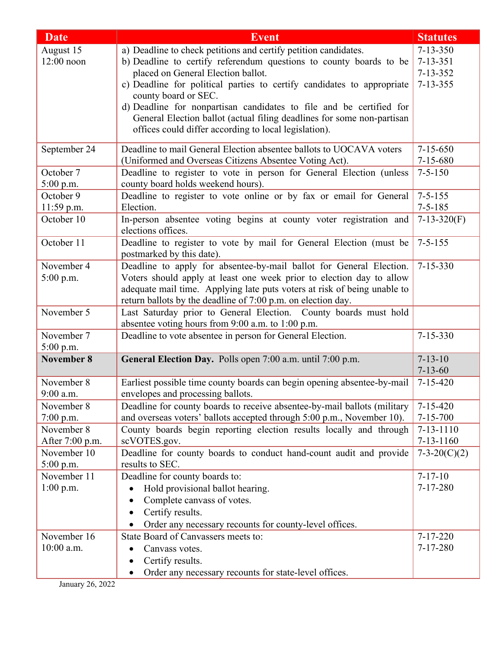| <b>Date</b>             | <b>Event</b>                                                                                    | <b>Statutes</b> |
|-------------------------|-------------------------------------------------------------------------------------------------|-----------------|
| August 15               | a) Deadline to check petitions and certify petition candidates.                                 | $7 - 13 - 350$  |
| $12:00$ noon            | b) Deadline to certify referendum questions to county boards to be                              | $7 - 13 - 351$  |
|                         | placed on General Election ballot.                                                              | $7 - 13 - 352$  |
|                         | c) Deadline for political parties to certify candidates to appropriate                          | $7 - 13 - 355$  |
|                         | county board or SEC.                                                                            |                 |
|                         | d) Deadline for nonpartisan candidates to file and be certified for                             |                 |
|                         | General Election ballot (actual filing deadlines for some non-partisan                          |                 |
|                         | offices could differ according to local legislation).                                           |                 |
| September 24            | Deadline to mail General Election absentee ballots to UOCAVA voters                             | $7 - 15 - 650$  |
|                         | (Uniformed and Overseas Citizens Absentee Voting Act).                                          | $7 - 15 - 680$  |
| October 7               | Deadline to register to vote in person for General Election (unless                             | $7 - 5 - 150$   |
| 5:00 p.m.               | county board holds weekend hours).                                                              |                 |
| October 9               | Deadline to register to vote online or by fax or email for General                              | $7 - 5 - 155$   |
| 11:59 p.m.              | Election.                                                                                       | $7 - 5 - 185$   |
| October 10              | In-person absentee voting begins at county voter registration and<br>elections offices.         | $7-13-320(F)$   |
| October 11              | Deadline to register to vote by mail for General Election (must be<br>postmarked by this date). | $7 - 5 - 155$   |
| November 4              | Deadline to apply for absentee-by-mail ballot for General Election.                             | $7 - 15 - 330$  |
| 5:00 p.m.               | Voters should apply at least one week prior to election day to allow                            |                 |
|                         | adequate mail time. Applying late puts voters at risk of being unable to                        |                 |
|                         | return ballots by the deadline of 7:00 p.m. on election day.                                    |                 |
| November 5              | Last Saturday prior to General Election. County boards must hold                                |                 |
|                         | absentee voting hours from 9:00 a.m. to 1:00 p.m.                                               |                 |
| November 7<br>5:00 p.m. | Deadline to vote absentee in person for General Election.                                       | $7 - 15 - 330$  |
| November 8              | General Election Day. Polls open 7:00 a.m. until 7:00 p.m.                                      | $7 - 13 - 10$   |
|                         |                                                                                                 | $7 - 13 - 60$   |
| November 8              | Earliest possible time county boards can begin opening absentee-by-mail                         | $7 - 15 - 420$  |
| 9:00 a.m.               | envelopes and processing ballots.                                                               |                 |
| November 8              | Deadline for county boards to receive absentee-by-mail ballots (military                        | $7 - 15 - 420$  |
| $7:00$ p.m.             | and overseas voters' ballots accepted through 5:00 p.m., November 10).                          | $7 - 15 - 700$  |
| November 8              | County boards begin reporting election results locally and through                              | $7 - 13 - 1110$ |
| After 7:00 p.m.         | scVOTES.gov.                                                                                    | $7 - 13 - 1160$ |
| November 10             | Deadline for county boards to conduct hand-count audit and provide                              | $7-3-20(C)(2)$  |
| 5:00 p.m.               | results to SEC.                                                                                 |                 |
| November 11             | Deadline for county boards to:                                                                  | $7 - 17 - 10$   |
| $1:00$ p.m.             | Hold provisional ballot hearing.                                                                | $7 - 17 - 280$  |
|                         | Complete canvass of votes.                                                                      |                 |
|                         | Certify results.                                                                                |                 |
|                         | Order any necessary recounts for county-level offices.                                          |                 |
| November 16             | State Board of Canvassers meets to:                                                             | $7 - 17 - 220$  |
| 10:00 a.m.              | Canvass votes.                                                                                  | $7 - 17 - 280$  |
|                         | Certify results.                                                                                |                 |
|                         | Order any necessary recounts for state-level offices.<br>$\bullet$                              |                 |

January 26, 2022